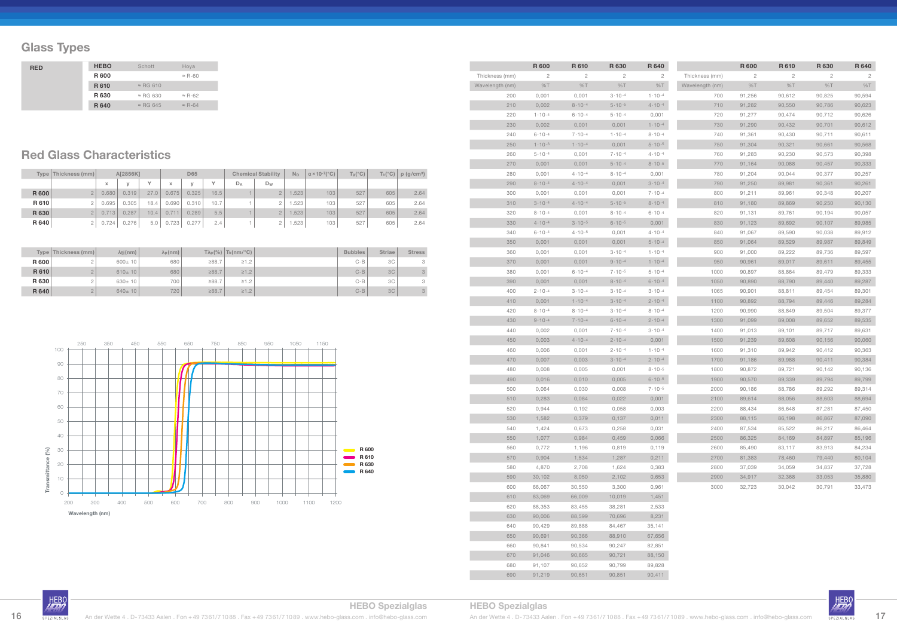## **Glass Types**

|             | Type   Thickness (mm) |       | A[2856K]     |      |       | <b>D65</b> |              |       | <b>Chemical Stability</b> | $N_D$ | $\alpha \times 10^{-7}$ (°C) | $T_g$ (°C) |     | $T_s(^{\circ}C)$ $\rho$ (g/cm <sup>3</sup> ) |
|-------------|-----------------------|-------|--------------|------|-------|------------|--------------|-------|---------------------------|-------|------------------------------|------------|-----|----------------------------------------------|
|             |                       | x     | $\mathbf{v}$ | v    | X     | $\vee$     | $\checkmark$ | $D_A$ | Dw                        |       |                              |            |     |                                              |
| <b>R600</b> |                       | 0.680 | 0.319        | 27.0 | 0.675 | 0.325      | 16.5         |       | $\overline{2}$            | 1.523 | 103                          | 527        | 605 | 2.64                                         |
| R 610       |                       | 0.695 | 0.305        | 18.4 | 0.690 | 0.310      | 10.7         |       |                           | 1.523 | 103                          | 527        | 605 | 2.64                                         |
| R 630       |                       | 0.713 | 0.287        | 10.4 | 0.711 | 0.289      | 5.5          |       | $\overline{2}$            | 1.523 | 103                          | 527        | 605 | 2.64                                         |
| R 640       |                       | 0.724 | 0.276        | 5.0  | 0.723 | 0.277      | 2.4          |       | 2                         | 1.523 | 103                          | 527        | 605 | 2.64                                         |

|       | Type   Thickness (mm) | $\lambda$ ti(nm) | $\lambda_{p}$ (nm) |       | $T\lambda_p$ (%) $T_k$ (nm/°C) | <b>Bubbles</b> | <b>Striae</b>  | <b>Stress</b> |
|-------|-----------------------|------------------|--------------------|-------|--------------------------------|----------------|----------------|---------------|
| R 600 |                       | $600 \pm 10$     | 680                | ≥88.7 | $\geq 1.2$                     | $C - B$        | 3C             | 3             |
| R 610 |                       | $610 \pm 10$     | 680                | ≥88.7 | $\geq 1.2$                     | $C-B$          | <b>3C</b>      | 3             |
| R 630 |                       | $630 \pm 10$     | 700                | ≥88.7 | $\geq 1.2$                     | $C - B$        | 3C             | 3             |
| R 640 |                       | $640 \pm 10$     | 720                | ≥88.7 | $\geq 1.2$                     | $C-B$          | 3 <sub>C</sub> | 3             |

## **Red Glass Characteristics**

| <b>RED</b> | <b>HEBO</b> | Schott           | Hoya           |
|------------|-------------|------------------|----------------|
|            | R 600       |                  | $\approx$ R-60 |
|            | R 610       | $\approx$ RG 610 |                |
|            | R 630       | $\approx$ RG 630 | $\approx$ R-62 |
|            | R 640       | $\approx$ RG 645 | $\approx$ R-64 |

|                 | R 600        | <b>R610</b>       | R 630             | R 640             |
|-----------------|--------------|-------------------|-------------------|-------------------|
| Thickness (mm)  | $\mathbf{2}$ | 2                 | 2                 | 2                 |
| Wavelength (nm) | %T           | %T                | %T                | %T                |
| 200             | 0,001        | 0,001             | $3 \cdot 10 - 4$  | $1.10 - 4$        |
| 210             | 0,002        | $8.10 - 4$        | $5 \cdot 10 - 5$  | $4.10 - 4$        |
| 220             | $1.10 - 4$   | $6 \cdot 10^{-4}$ | $5.10 - 4$        | 0,001             |
| 230             | 0,002        | 0,001             | 0,001             | $1.10 - 4$        |
| 240             | $6.10 - 4$   | $7.10 - 4$        | $1.10 - 4$        | $8 \cdot 10 - 4$  |
| 250             | $1.10 - 3$   | $1.10 - 4$        | 0,001             | $5.10 - 5$        |
| 260             | $5.10 - 4$   | 0,001             | $7.10 - 4$        | $4.10 - 4$        |
| 270             | 0,001        | 0,001             | $5.10 - 4$        | $8 \cdot 10 - 5$  |
| 280             | 0,001        | $4.10 - 4$        | $8 \cdot 10^{-4}$ | 0,001             |
| 290             | $8.10 - 4$   | $4.10 - 4$        | 0,001             | $3 \cdot 10^{-4}$ |
| 300             | 0,001        | 0,001             | 0,001             | $7.10 - 4$        |
| 310             | $3.10 - 4$   | $4 \cdot 10 - 4$  | $5.10 - 5$        | $8.10 - 4$        |
| 320             | $8.10 - 4$   | 0,001             | $8.10 - 4$        | $6.10 - 4$        |
| 330             | $4.10 - 4$   | $3 \cdot 10 - 5$  | $6.10 - 5$        | 0,001             |
| 340             | $6 - 10 - 4$ | $4 \cdot 10 - 5$  | 0,001             | $4.10 - 4$        |
| 350             | 0,001        | 0,001             | 0,001             | $5.10 - 4$        |
| 360             | 0,001        | 0,001             | $3 \cdot 10 - 4$  | $1.10 - 4$        |
| 370             | 0,001        | 0,001             | $9.10 - 4$        | $1.10 - 4$        |
| 380             | 0,001        | $6.10 - 4$        | $7 \cdot 10^{-5}$ | $5.10 - 4$        |
| 390             | 0,001        | 0,001             | $8.10 - 4$        | $6.10 - 4$        |
| 400             | $2.10 - 4$   | $3 \cdot 10 - 4$  | $3 \cdot 10 - 4$  | $3 \cdot 10 - 4$  |
| 410             | 0,001        | $1.10 - 4$        | $3 \cdot 10^{-4}$ | $2.10 - 4$        |
| 420             | $8.10 - 4$   | $8 \cdot 10 - 4$  | $3 \cdot 10 - 4$  | $8.10 - 4$        |
| 430             | $9.10 - 4$   | $7 \cdot 10 - 4$  | $6.10 - 4$        | $2.10 - 4$        |
| 440             | 0,002        | 0,001             | $7.10 - 4$        | $3 \cdot 10^{-4}$ |
| 450             | 0,003        | $4.10 - 4$        | $2 \cdot 10^{-4}$ | 0,001             |
| 460             | 0,006        | 0,001             | $2 \cdot 10 - 4$  | $1.10 - 4$        |
| 470             | 0,007        | 0,003             | $3 \cdot 10^{-4}$ | $2.10 - 4$        |
| 480             | 0,008        | 0,005             | 0,001             | $8 \cdot 10^{-5}$ |
| 490             | 0,016        | 0,010             | 0,005             | $6 \cdot 10 - 5$  |
| 500             | 0,064        | 0,030             | 0,008             | $7.10 - 5$        |
| 510             | 0,283        | 0,084             | 0,022             | 0,001             |
| 520             | 0,944        | 0,192             | 0,058             | 0,003             |
| 530             | 1,582        | 0,379             | 0,137             | 0,011             |
| 540             | 1,424        | 0,673             | 0,258             | 0,031             |
| 550             | 1,077        | 0,984             | 0,459             | 0,066             |
| 560             | 0,772        | 1,196             | 0,819             | 0,119             |
| 570             | 0,904        | 1,534             | 1,287             | 0,211             |
| 580             | 4,870        | 2,708             | 1,624             | 0,383             |
| 590             | 30,102       | 8,050             | 2,102             | 0,653             |
| 600             | 66,067       | 30,550            | 3,300             | 0,961             |
| 610             | 83,069       | 66,009            | 10,019            | 1,451             |
| 620             | 88,353       | 83,455            | 38,281            | 2,533             |
| 630             | 90,006       | 88,599            | 70,696            | 8,231             |
| 640             | 90,429       | 89,888            | 84,467            | 35,141            |
| 650             | 90,691       | 90,366            | 88,910            | 67,656            |
| 660             | 90,841       | 90,534            | 90,247            | 82,851            |
| 670             | 91,046       | 90,665            | 90,721            | 88,150            |
| 680             | 91,107       | 90,652            | 90,799            | 89,828            |
| 690             | 91,219       | 90,651            | 90,851            | 90,411            |

|                 | R 600  | R 610  | R 630  | R 640  |
|-----------------|--------|--------|--------|--------|
| Thickness (mm)  | 2      | 2      | 2      | 2      |
| Wavelength (nm) | %T     | %T     | %T     | %T     |
| 700             | 91,256 | 90,612 | 90,825 | 90,594 |
| 710             | 91,282 | 90,550 | 90,786 | 90,623 |
| 720             | 91,277 | 90,474 | 90,712 | 90,626 |
| 730             | 91,290 | 90,432 | 90,701 | 90,612 |
| 740             | 91,361 | 90,430 | 90,711 | 90,611 |
| 750             | 91,304 | 90,321 | 90,661 | 90,568 |
| 760             | 91,283 | 90,230 | 90,573 | 90,398 |
| 770             | 91,164 | 90,088 | 90,457 | 90,333 |
| 780             | 91,204 | 90,044 | 90,377 | 90,257 |
| 790             | 91,250 | 89,981 | 90,361 | 90,261 |
| 800             | 91,211 | 89,961 | 90,348 | 90,207 |
| 810             | 91,180 | 89,869 | 90,250 | 90,130 |
| 820             | 91,131 | 89,761 | 90,194 | 90,057 |
| 830             | 91,123 | 89,692 | 90,107 | 89,985 |
| 840             | 91,067 | 89,590 | 90,038 | 89,912 |
| 850             | 91,064 | 89,529 | 89,987 | 89,849 |
| 900             | 91,000 | 89,222 | 89,736 | 89,597 |
| 950             | 90,961 | 89,017 | 89,611 | 89,455 |
| 1000            | 90,897 | 88,864 | 89,479 | 89,333 |
| 1050            | 90,890 | 88,790 | 89,440 | 89,287 |
| 1065            | 90,901 | 88,811 | 89,454 | 89,301 |
| 1100            | 90,892 | 88,794 | 89,446 | 89,284 |
| 1200            | 90,990 | 88,849 | 89,504 | 89,377 |
| 1300            | 91,099 | 89,008 | 89,652 | 89,535 |
| 1400            | 91,013 | 89,101 | 89,717 | 89,631 |
| 1500            | 91,239 | 89,608 | 90,156 | 90,060 |
| 1600            | 91,310 | 89,942 | 90,412 | 90,363 |
| 1700            | 91,186 | 89,988 | 90,411 | 90,384 |
| 1800            | 90,872 | 89,721 | 90,142 | 90,136 |
| 1900            | 90,570 | 89,339 | 89,794 | 89,799 |
| 2000            | 90,186 | 88,786 | 89,292 | 89,314 |
| 2100            | 89,614 | 88,056 | 88,603 | 88,694 |
| 2200            | 88,434 | 86,648 | 87,281 | 87,450 |
| 2300            | 88,115 | 86,198 | 86,867 | 87,090 |
| 2400            | 87,534 | 85,522 | 86,217 | 86,464 |
| 2500            | 86,325 | 84,169 | 84,897 | 85,196 |
| 2600            | 85,490 | 83,117 | 83,913 | 84,234 |
| 2700            | 81,383 | 78,460 | 79,440 | 80,104 |
| 2800            | 37,039 | 34,059 | 34,837 | 37,728 |
| 2900            | 34,917 | 32,368 | 33,053 | 35,880 |
| 3000            | 32,723 | 30,042 | 30,791 | 33,473 |